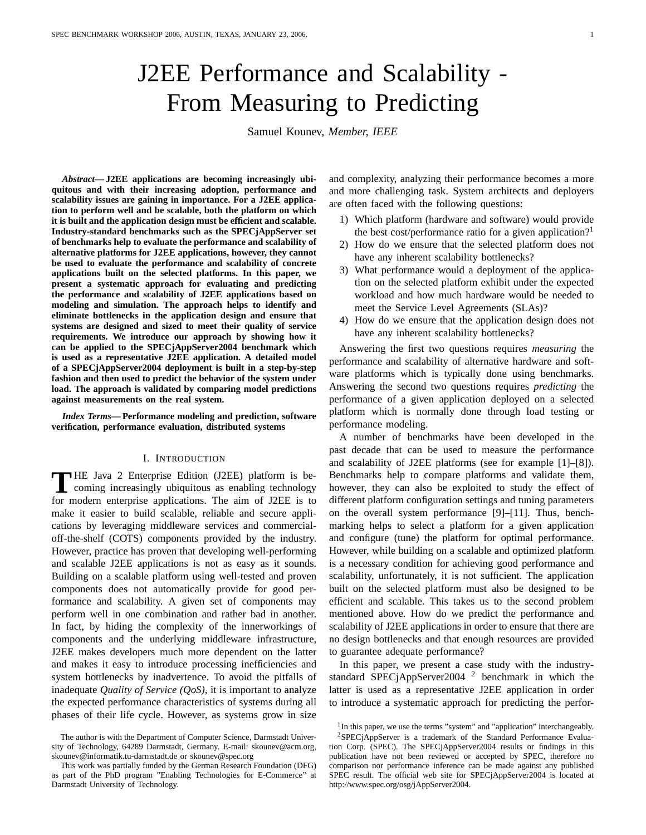# J2EE Performance and Scalability - From Measuring to Predicting

Samuel Kounev, *Member, IEEE*

*Abstract***— J2EE applications are becoming increasingly ubiquitous and with their increasing adoption, performance and scalability issues are gaining in importance. For a J2EE application to perform well and be scalable, both the platform on which it is built and the application design must be efficient and scalable. Industry-standard benchmarks such as the SPECjAppServer set of benchmarks help to evaluate the performance and scalability of alternative platforms for J2EE applications, however, they cannot be used to evaluate the performance and scalability of concrete applications built on the selected platforms. In this paper, we present a systematic approach for evaluating and predicting the performance and scalability of J2EE applications based on modeling and simulation. The approach helps to identify and eliminate bottlenecks in the application design and ensure that systems are designed and sized to meet their quality of service requirements. We introduce our approach by showing how it can be applied to the SPECjAppServer2004 benchmark which is used as a representative J2EE application. A detailed model of a SPECjAppServer2004 deployment is built in a step-by-step fashion and then used to predict the behavior of the system under load. The approach is validated by comparing model predictions against measurements on the real system.**

*Index Terms***— Performance modeling and prediction, software verification, performance evaluation, distributed systems**

# I. INTRODUCTION

**T** HE Java 2 Enterprise Edition (J2EE) platform is becoming increasingly ubiquitous as enabling technology for modern enterprise applications. The aim of J2EE is to make it easier to build scalable, reliable and secure applications by leveraging middleware services and commercialoff-the-shelf (COTS) components provided by the industry. However, practice has proven that developing well-performing and scalable J2EE applications is not as easy as it sounds. Building on a scalable platform using well-tested and proven components does not automatically provide for good performance and scalability. A given set of components may perform well in one combination and rather bad in another. In fact, by hiding the complexity of the innerworkings of components and the underlying middleware infrastructure, J2EE makes developers much more dependent on the latter and makes it easy to introduce processing inefficiencies and system bottlenecks by inadvertence. To avoid the pitfalls of inadequate *Quality of Service (QoS)*, it is important to analyze the expected performance characteristics of systems during all phases of their life cycle. However, as systems grow in size

The author is with the Department of Computer Science, Darmstadt University of Technology, 64289 Darmstadt, Germany. E-mail: skounev@acm.org, skounev@informatik.tu-darmstadt.de or skounev@spec.org

and complexity, analyzing their performance becomes a more and more challenging task. System architects and deployers are often faced with the following questions:

- 1) Which platform (hardware and software) would provide the best cost/performance ratio for a given application?<sup>1</sup>
- 2) How do we ensure that the selected platform does not have any inherent scalability bottlenecks?
- 3) What performance would a deployment of the application on the selected platform exhibit under the expected workload and how much hardware would be needed to meet the Service Level Agreements (SLAs)?
- 4) How do we ensure that the application design does not have any inherent scalability bottlenecks?

Answering the first two questions requires *measuring* the performance and scalability of alternative hardware and software platforms which is typically done using benchmarks. Answering the second two questions requires *predicting* the performance of a given application deployed on a selected platform which is normally done through load testing or performance modeling.

A number of benchmarks have been developed in the past decade that can be used to measure the performance and scalability of J2EE platforms (see for example [1]–[8]). Benchmarks help to compare platforms and validate them, however, they can also be exploited to study the effect of different platform configuration settings and tuning parameters on the overall system performance [9]–[11]. Thus, benchmarking helps to select a platform for a given application and configure (tune) the platform for optimal performance. However, while building on a scalable and optimized platform is a necessary condition for achieving good performance and scalability, unfortunately, it is not sufficient. The application built on the selected platform must also be designed to be efficient and scalable. This takes us to the second problem mentioned above. How do we predict the performance and scalability of J2EE applications in order to ensure that there are no design bottlenecks and that enough resources are provided to guarantee adequate performance?

In this paper, we present a case study with the industrystandard SPECjAppServer2004 $^2$  benchmark in which the latter is used as a representative J2EE application in order to introduce a systematic approach for predicting the perfor-

This work was partially funded by the German Research Foundation (DFG) as part of the PhD program "Enabling Technologies for E-Commerce" at Darmstadt University of Technology.

<sup>&</sup>lt;sup>1</sup>In this paper, we use the terms "system" and "application" interchangeably.

<sup>2</sup>SPECjAppServer is a trademark of the Standard Performance Evaluation Corp. (SPEC). The SPECjAppServer2004 results or findings in this publication have not been reviewed or accepted by SPEC, therefore no comparison nor performance inference can be made against any published SPEC result. The official web site for SPECjAppServer2004 is located at http://www.spec.org/osg/jAppServer2004.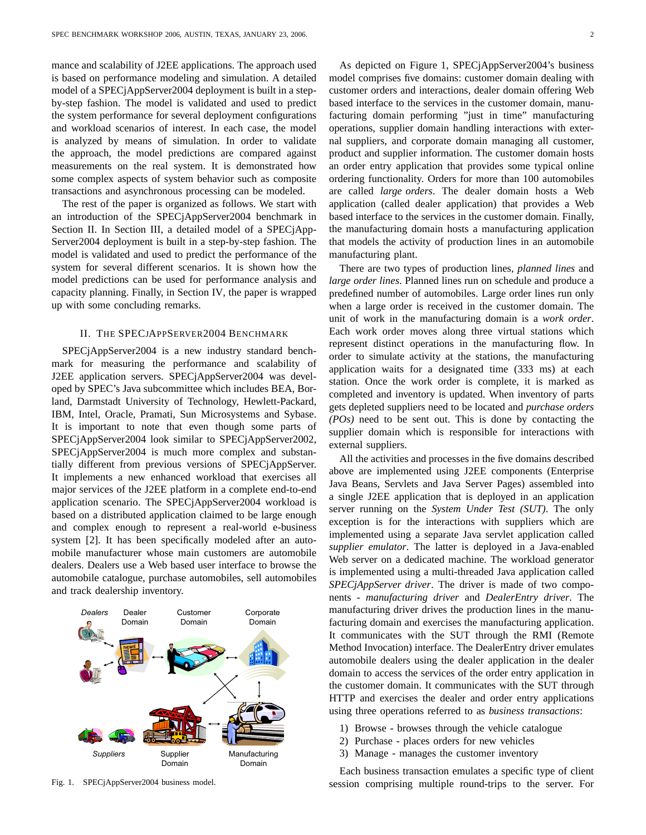mance and scalability of J2EE applications. The approach used is based on performance modeling and simulation. A detailed model of a SPECjAppServer2004 deployment is built in a stepby-step fashion. The model is validated and used to predict the system performance for several deployment configurations and workload scenarios of interest. In each case, the model is analyzed by means of simulation. In order to validate the approach, the model predictions are compared against measurements on the real system. It is demonstrated how some complex aspects of system behavior such as composite transactions and asynchronous processing can be modeled.

The rest of the paper is organized as follows. We start with an introduction of the SPECjAppServer2004 benchmark in Section II. In Section III, a detailed model of a SPECjApp-Server2004 deployment is built in a step-by-step fashion. The model is validated and used to predict the performance of the system for several different scenarios. It is shown how the model predictions can be used for performance analysis and capacity planning. Finally, in Section IV, the paper is wrapped up with some concluding remarks.

#### II. THE SPECJAPPSERVER2004 BENCHMARK

SPECjAppServer2004 is a new industry standard benchmark for measuring the performance and scalability of J2EE application servers. SPECjAppServer2004 was developed by SPEC's Java subcommittee which includes BEA, Borland, Darmstadt University of Technology, Hewlett-Packard, IBM, Intel, Oracle, Pramati, Sun Microsystems and Sybase. It is important to note that even though some parts of SPECjAppServer2004 look similar to SPECjAppServer2002, SPECjAppServer2004 is much more complex and substantially different from previous versions of SPECjAppServer. It implements a new enhanced workload that exercises all major services of the J2EE platform in a complete end-to-end application scenario. The SPECjAppServer2004 workload is based on a distributed application claimed to be large enough and complex enough to represent a real-world e-business system [2]. It has been specifically modeled after an automobile manufacturer whose main customers are automobile dealers. Dealers use a Web based user interface to browse the automobile catalogue, purchase automobiles, sell automobiles and track dealership inventory.



Fig. 1. SPECjAppServer2004 business model.

As depicted on Figure 1, SPECjAppServer2004's business model comprises five domains: customer domain dealing with customer orders and interactions, dealer domain offering Web based interface to the services in the customer domain, manufacturing domain performing "just in time" manufacturing operations, supplier domain handling interactions with external suppliers, and corporate domain managing all customer, product and supplier information. The customer domain hosts an order entry application that provides some typical online ordering functionality. Orders for more than 100 automobiles are called *large orders*. The dealer domain hosts a Web application (called dealer application) that provides a Web based interface to the services in the customer domain. Finally, the manufacturing domain hosts a manufacturing application that models the activity of production lines in an automobile manufacturing plant.

There are two types of production lines, *planned lines* and *large order lines*. Planned lines run on schedule and produce a predefined number of automobiles. Large order lines run only when a large order is received in the customer domain. The unit of work in the manufacturing domain is a *work order*. Each work order moves along three virtual stations which represent distinct operations in the manufacturing flow. In order to simulate activity at the stations, the manufacturing application waits for a designated time (333 ms) at each station. Once the work order is complete, it is marked as completed and inventory is updated. When inventory of parts gets depleted suppliers need to be located and *purchase orders (POs)* need to be sent out. This is done by contacting the supplier domain which is responsible for interactions with external suppliers.

All the activities and processes in the five domains described above are implemented using J2EE components (Enterprise Java Beans, Servlets and Java Server Pages) assembled into a single J2EE application that is deployed in an application server running on the *System Under Test (SUT)*. The only exception is for the interactions with suppliers which are implemented using a separate Java servlet application called *supplier emulator*. The latter is deployed in a Java-enabled Web server on a dedicated machine. The workload generator is implemented using a multi-threaded Java application called *SPECjAppServer driver*. The driver is made of two components - *manufacturing driver* and *DealerEntry driver*. The manufacturing driver drives the production lines in the manufacturing domain and exercises the manufacturing application. It communicates with the SUT through the RMI (Remote Method Invocation) interface. The DealerEntry driver emulates automobile dealers using the dealer application in the dealer domain to access the services of the order entry application in the customer domain. It communicates with the SUT through HTTP and exercises the dealer and order entry applications using three operations referred to as *business transactions*:

- 1) Browse browses through the vehicle catalogue
- 2) Purchase places orders for new vehicles
- 3) Manage manages the customer inventory

Each business transaction emulates a specific type of client session comprising multiple round-trips to the server. For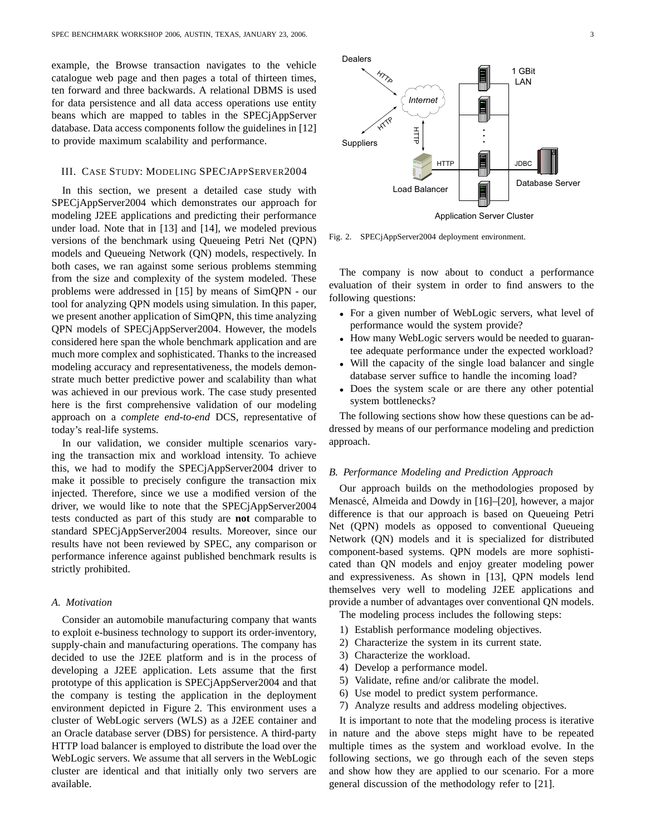example, the Browse transaction navigates to the vehicle catalogue web page and then pages a total of thirteen times, ten forward and three backwards. A relational DBMS is used for data persistence and all data access operations use entity beans which are mapped to tables in the SPECjAppServer database. Data access components follow the guidelines in [12] to provide maximum scalability and performance.

# III. CASE STUDY: MODELING SPECJAPPSERVER2004

In this section, we present a detailed case study with SPECjAppServer2004 which demonstrates our approach for modeling J2EE applications and predicting their performance under load. Note that in [13] and [14], we modeled previous versions of the benchmark using Queueing Petri Net (QPN) models and Queueing Network (QN) models, respectively. In both cases, we ran against some serious problems stemming from the size and complexity of the system modeled. These problems were addressed in [15] by means of SimQPN - our tool for analyzing QPN models using simulation. In this paper, we present another application of SimQPN, this time analyzing QPN models of SPECjAppServer2004. However, the models considered here span the whole benchmark application and are much more complex and sophisticated. Thanks to the increased modeling accuracy and representativeness, the models demonstrate much better predictive power and scalability than what was achieved in our previous work. The case study presented here is the first comprehensive validation of our modeling approach on a *complete end-to-end* DCS, representative of today's real-life systems.

In our validation, we consider multiple scenarios varying the transaction mix and workload intensity. To achieve this, we had to modify the SPECjAppServer2004 driver to make it possible to precisely configure the transaction mix injected. Therefore, since we use a modified version of the driver, we would like to note that the SPECjAppServer2004 tests conducted as part of this study are **not** comparable to standard SPECjAppServer2004 results. Moreover, since our results have not been reviewed by SPEC, any comparison or performance inference against published benchmark results is strictly prohibited.

# *A. Motivation*

Consider an automobile manufacturing company that wants to exploit e-business technology to support its order-inventory, supply-chain and manufacturing operations. The company has decided to use the J2EE platform and is in the process of developing a J2EE application. Lets assume that the first prototype of this application is SPECjAppServer2004 and that the company is testing the application in the deployment environment depicted in Figure 2. This environment uses a cluster of WebLogic servers (WLS) as a J2EE container and an Oracle database server (DBS) for persistence. A third-party HTTP load balancer is employed to distribute the load over the WebLogic servers. We assume that all servers in the WebLogic cluster are identical and that initially only two servers are available.



Application Server Cluster

Database Server

Fig. 2. SPECjAppServer2004 deployment environment.

Load Balancer

Dealers

The company is now about to conduct a performance evaluation of their system in order to find answers to the following questions:

- *•* For a given number of WebLogic servers, what level of performance would the system provide?
- How many WebLogic servers would be needed to guarantee adequate performance under the expected workload?
- *•* Will the capacity of the single load balancer and single database server suffice to handle the incoming load?
- *•* Does the system scale or are there any other potential system bottlenecks?

The following sections show how these questions can be addressed by means of our performance modeling and prediction approach.

#### *B. Performance Modeling and Prediction Approach*

Our approach builds on the methodologies proposed by Menascé, Almeida and Dowdy in [16]–[20], however, a major difference is that our approach is based on Queueing Petri Net (QPN) models as opposed to conventional Queueing Network (QN) models and it is specialized for distributed component-based systems. QPN models are more sophisticated than QN models and enjoy greater modeling power and expressiveness. As shown in [13], QPN models lend themselves very well to modeling J2EE applications and provide a number of advantages over conventional QN models.

The modeling process includes the following steps:

- 1) Establish performance modeling objectives.
- 2) Characterize the system in its current state.
- 3) Characterize the workload.
- 4) Develop a performance model.
- 5) Validate, refine and/or calibrate the model.
- 6) Use model to predict system performance.
- 7) Analyze results and address modeling objectives.

It is important to note that the modeling process is iterative in nature and the above steps might have to be repeated multiple times as the system and workload evolve. In the following sections, we go through each of the seven steps and show how they are applied to our scenario. For a more general discussion of the methodology refer to [21].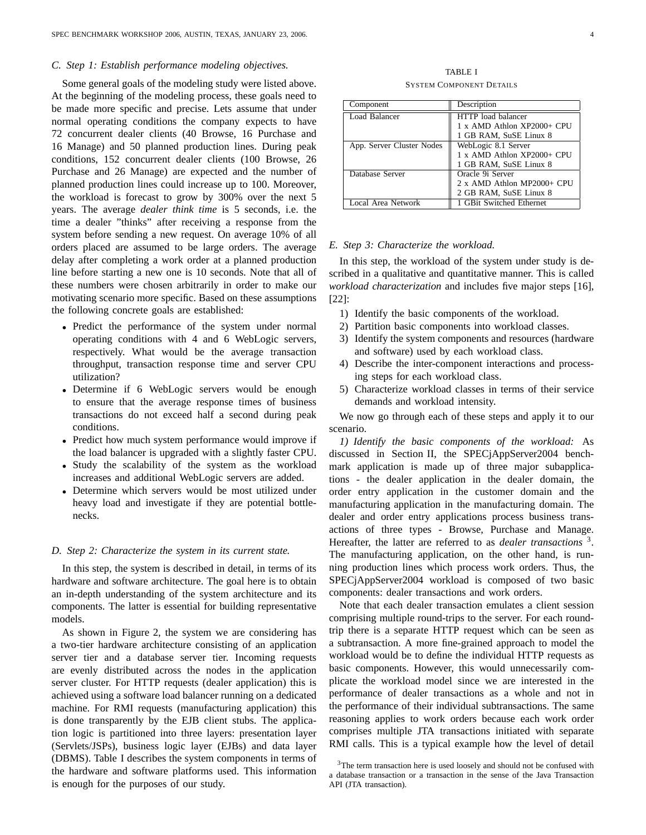#### *C. Step 1: Establish performance modeling objectives.*

Some general goals of the modeling study were listed above. At the beginning of the modeling process, these goals need to be made more specific and precise. Lets assume that under normal operating conditions the company expects to have 72 concurrent dealer clients (40 Browse, 16 Purchase and 16 Manage) and 50 planned production lines. During peak conditions, 152 concurrent dealer clients (100 Browse, 26 Purchase and 26 Manage) are expected and the number of planned production lines could increase up to 100. Moreover, the workload is forecast to grow by 300% over the next 5 years. The average *dealer think time* is 5 seconds, i.e. the time a dealer "thinks" after receiving a response from the system before sending a new request. On average 10% of all orders placed are assumed to be large orders. The average delay after completing a work order at a planned production line before starting a new one is 10 seconds. Note that all of these numbers were chosen arbitrarily in order to make our motivating scenario more specific. Based on these assumptions the following concrete goals are established:

- *•* Predict the performance of the system under normal operating conditions with 4 and 6 WebLogic servers, respectively. What would be the average transaction throughput, transaction response time and server CPU utilization?
- *•* Determine if 6 WebLogic servers would be enough to ensure that the average response times of business transactions do not exceed half a second during peak conditions.
- *•* Predict how much system performance would improve if the load balancer is upgraded with a slightly faster CPU.
- *•* Study the scalability of the system as the workload increases and additional WebLogic servers are added.
- *•* Determine which servers would be most utilized under heavy load and investigate if they are potential bottlenecks.

# *D. Step 2: Characterize the system in its current state.*

In this step, the system is described in detail, in terms of its hardware and software architecture. The goal here is to obtain an in-depth understanding of the system architecture and its components. The latter is essential for building representative models.

As shown in Figure 2, the system we are considering has a two-tier hardware architecture consisting of an application server tier and a database server tier. Incoming requests are evenly distributed across the nodes in the application server cluster. For HTTP requests (dealer application) this is achieved using a software load balancer running on a dedicated machine. For RMI requests (manufacturing application) this is done transparently by the EJB client stubs. The application logic is partitioned into three layers: presentation layer (Servlets/JSPs), business logic layer (EJBs) and data layer (DBMS). Table I describes the system components in terms of the hardware and software platforms used. This information is enough for the purposes of our study.

TABLE I SYSTEM COMPONENT DETAILS

| Component                 | Description                |
|---------------------------|----------------------------|
| Load Balancer             | HTTP load balancer         |
|                           | 1 x AMD Athlon XP2000+ CPU |
|                           | 1 GB RAM, SuSE Linux 8     |
| App. Server Cluster Nodes | WebLogic 8.1 Server        |
|                           | 1 x AMD Athlon XP2000+ CPU |
|                           | 1 GB RAM, SuSE Linux 8     |
| Database Server           | Oracle 9i Server           |
|                           | 2 x AMD Athlon MP2000+ CPU |
|                           | 2 GB RAM, SuSE Linux 8     |
| Local Area Network        | 1 GBit Switched Ethernet   |

### *E. Step 3: Characterize the workload.*

In this step, the workload of the system under study is described in a qualitative and quantitative manner. This is called *workload characterization* and includes five major steps [16], [22]:

- 1) Identify the basic components of the workload.
- 2) Partition basic components into workload classes.
- 3) Identify the system components and resources (hardware and software) used by each workload class.
- 4) Describe the inter-component interactions and processing steps for each workload class.
- 5) Characterize workload classes in terms of their service demands and workload intensity.

We now go through each of these steps and apply it to our scenario.

*1) Identify the basic components of the workload:* As discussed in Section II, the SPECjAppServer2004 benchmark application is made up of three major subapplications - the dealer application in the dealer domain, the order entry application in the customer domain and the manufacturing application in the manufacturing domain. The dealer and order entry applications process business transactions of three types - Browse, Purchase and Manage. Hereafter, the latter are referred to as *dealer transactions* 3. The manufacturing application, on the other hand, is running production lines which process work orders. Thus, the SPECjAppServer2004 workload is composed of two basic components: dealer transactions and work orders.

Note that each dealer transaction emulates a client session comprising multiple round-trips to the server. For each roundtrip there is a separate HTTP request which can be seen as a subtransaction. A more fine-grained approach to model the workload would be to define the individual HTTP requests as basic components. However, this would unnecessarily complicate the workload model since we are interested in the performance of dealer transactions as a whole and not in the performance of their individual subtransactions. The same reasoning applies to work orders because each work order comprises multiple JTA transactions initiated with separate RMI calls. This is a typical example how the level of detail

<sup>&</sup>lt;sup>3</sup>The term transaction here is used loosely and should not be confused with a database transaction or a transaction in the sense of the Java Transaction API (JTA transaction).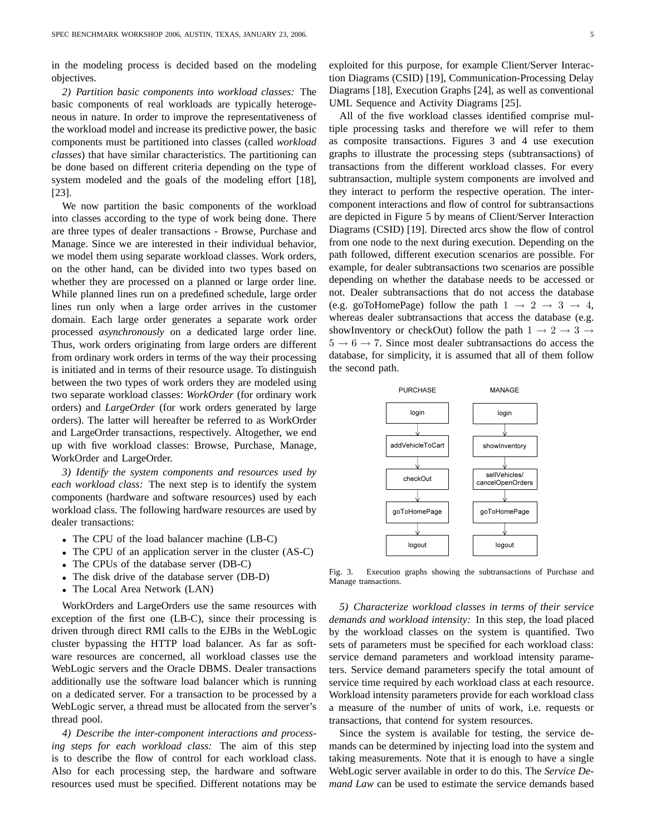in the modeling process is decided based on the modeling objectives.

*2) Partition basic components into workload classes:* The basic components of real workloads are typically heterogeneous in nature. In order to improve the representativeness of the workload model and increase its predictive power, the basic components must be partitioned into classes (called *workload classes*) that have similar characteristics. The partitioning can be done based on different criteria depending on the type of system modeled and the goals of the modeling effort [18], [23].

We now partition the basic components of the workload into classes according to the type of work being done. There are three types of dealer transactions - Browse, Purchase and Manage. Since we are interested in their individual behavior, we model them using separate workload classes. Work orders, on the other hand, can be divided into two types based on whether they are processed on a planned or large order line. While planned lines run on a predefined schedule, large order lines run only when a large order arrives in the customer domain. Each large order generates a separate work order processed *asynchronously* on a dedicated large order line. Thus, work orders originating from large orders are different from ordinary work orders in terms of the way their processing is initiated and in terms of their resource usage. To distinguish between the two types of work orders they are modeled using two separate workload classes: *WorkOrder* (for ordinary work orders) and *LargeOrder* (for work orders generated by large orders). The latter will hereafter be referred to as WorkOrder and LargeOrder transactions, respectively. Altogether, we end up with five workload classes: Browse, Purchase, Manage, WorkOrder and LargeOrder.

*3) Identify the system components and resources used by each workload class:* The next step is to identify the system components (hardware and software resources) used by each workload class. The following hardware resources are used by dealer transactions:

- *•* The CPU of the load balancer machine (LB-C)
- *•* The CPU of an application server in the cluster (AS-C)
- The CPUs of the database server (DB-C)
- The disk drive of the database server (DB-D)
- *•* The Local Area Network (LAN)

WorkOrders and LargeOrders use the same resources with exception of the first one (LB-C), since their processing is driven through direct RMI calls to the EJBs in the WebLogic cluster bypassing the HTTP load balancer. As far as software resources are concerned, all workload classes use the WebLogic servers and the Oracle DBMS. Dealer transactions additionally use the software load balancer which is running on a dedicated server. For a transaction to be processed by a WebLogic server, a thread must be allocated from the server's thread pool.

*4) Describe the inter-component interactions and processing steps for each workload class:* The aim of this step is to describe the flow of control for each workload class. Also for each processing step, the hardware and software resources used must be specified. Different notations may be exploited for this purpose, for example Client/Server Interaction Diagrams (CSID) [19], Communication-Processing Delay Diagrams [18], Execution Graphs [24], as well as conventional UML Sequence and Activity Diagrams [25].

All of the five workload classes identified comprise multiple processing tasks and therefore we will refer to them as composite transactions. Figures 3 and 4 use execution graphs to illustrate the processing steps (subtransactions) of transactions from the different workload classes. For every subtransaction, multiple system components are involved and they interact to perform the respective operation. The intercomponent interactions and flow of control for subtransactions are depicted in Figure 5 by means of Client/Server Interaction Diagrams (CSID) [19]. Directed arcs show the flow of control from one node to the next during execution. Depending on the path followed, different execution scenarios are possible. For example, for dealer subtransactions two scenarios are possible depending on whether the database needs to be accessed or not. Dealer subtransactions that do not access the database (e.g. goToHomePage) follow the path  $1 \rightarrow 2 \rightarrow 3 \rightarrow 4$ , whereas dealer subtransactions that access the database (e.g. showInventory or checkOut) follow the path  $1 \rightarrow 2 \rightarrow 3 \rightarrow$  $5 \rightarrow 6 \rightarrow 7$ . Since most dealer subtransactions do access the database, for simplicity, it is assumed that all of them follow the second path.



Fig. 3. Execution graphs showing the subtransactions of Purchase and Manage transactions.

*5) Characterize workload classes in terms of their service demands and workload intensity:* In this step, the load placed by the workload classes on the system is quantified. Two sets of parameters must be specified for each workload class: service demand parameters and workload intensity parameters. Service demand parameters specify the total amount of service time required by each workload class at each resource. Workload intensity parameters provide for each workload class a measure of the number of units of work, i.e. requests or transactions, that contend for system resources.

Since the system is available for testing, the service demands can be determined by injecting load into the system and taking measurements. Note that it is enough to have a single WebLogic server available in order to do this. The *Service Demand Law* can be used to estimate the service demands based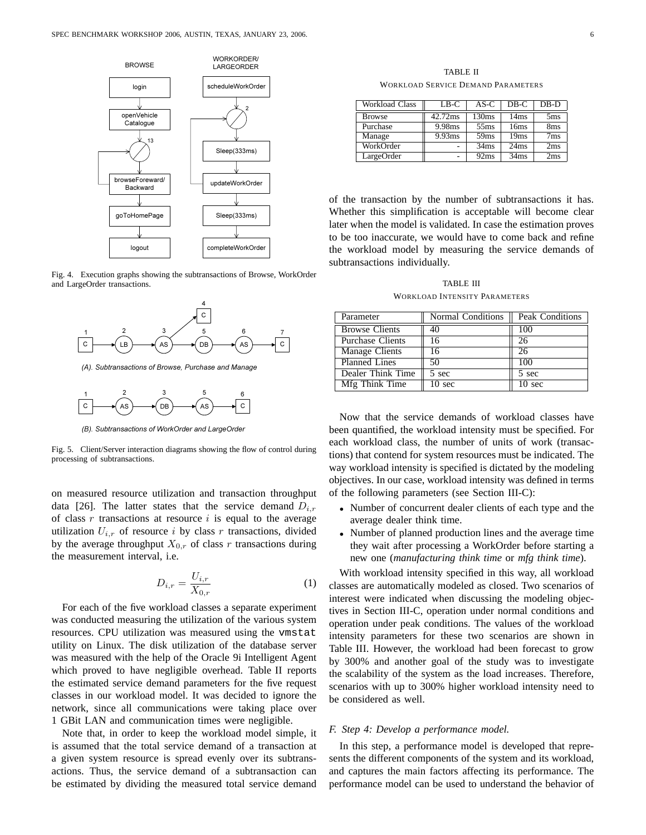

Fig. 4. Execution graphs showing the subtransactions of Browse, WorkOrder and LargeOrder transactions.



(A). Subtransactions of Browse, Purchase and Manage



(B). Subtransactions of WorkOrder and LargeOrder

Fig. 5. Client/Server interaction diagrams showing the flow of control during processing of subtransactions.

on measured resource utilization and transaction throughput data [26]. The latter states that the service demand  $D_i$ <sub>r</sub> of class *r* transactions at resource *i* is equal to the average utilization  $U_{i,r}$  of resource *i* by class *r* transactions, divided by the average throughput  $X_{0,r}$  of class *r* transactions during the measurement interval, i.e.

$$
D_{i,r} = \frac{U_{i,r}}{X_{0,r}}\tag{1}
$$

For each of the five workload classes a separate experiment was conducted measuring the utilization of the various system resources. CPU utilization was measured using the vmstat utility on Linux. The disk utilization of the database server was measured with the help of the Oracle 9i Intelligent Agent which proved to have negligible overhead. Table II reports the estimated service demand parameters for the five request classes in our workload model. It was decided to ignore the network, since all communications were taking place over 1 GBit LAN and communication times were negligible.

Note that, in order to keep the workload model simple, it is assumed that the total service demand of a transaction at a given system resource is spread evenly over its subtransactions. Thus, the service demand of a subtransaction can be estimated by dividing the measured total service demand

TABLE II WORKLOAD SERVICE DEMAND PARAMETERS

| Workload Class | $LB-C$  | $AS-C$ | $DB-C$ | $DB-D$          |
|----------------|---------|--------|--------|-----------------|
| <b>Browse</b>  | 42.72ms | 130ms  | 14ms   | 5 <sub>ms</sub> |
| Purchase       | 9.98ms  | 55ms   | 16ms   | 8 <sub>ms</sub> |
| Manage         | 9.93ms  | 59ms   | 19ms   | 7 <sub>ms</sub> |
| WorkOrder      |         | 34ms   | 24ms   | 2ms             |
| LargeOrder     |         | 92ms   | 34ms   | 2ms             |

of the transaction by the number of subtransactions it has. Whether this simplification is acceptable will become clear later when the model is validated. In case the estimation proves to be too inaccurate, we would have to come back and refine the workload model by measuring the service demands of subtransactions individually.

TABLE III WORKLOAD INTENSITY PARAMETERS

| Parameter               | Normal Conditions | Peak Conditions |
|-------------------------|-------------------|-----------------|
| <b>Browse Clients</b>   | 40                | 100             |
| <b>Purchase Clients</b> | 16                | 26              |
| Manage Clients          | 16                | 26              |
| Planned Lines           | 50                | 100             |
| Dealer Think Time       | 5 sec             | 5 sec           |
| Mfg Think Time          | 10 sec            | 10 sec          |

Now that the service demands of workload classes have been quantified, the workload intensity must be specified. For each workload class, the number of units of work (transactions) that contend for system resources must be indicated. The way workload intensity is specified is dictated by the modeling objectives. In our case, workload intensity was defined in terms of the following parameters (see Section III-C):

- *•* Number of concurrent dealer clients of each type and the average dealer think time.
- *•* Number of planned production lines and the average time they wait after processing a WorkOrder before starting a new one (*manufacturing think time* or *mfg think time*).

With workload intensity specified in this way, all workload classes are automatically modeled as closed. Two scenarios of interest were indicated when discussing the modeling objectives in Section III-C, operation under normal conditions and operation under peak conditions. The values of the workload intensity parameters for these two scenarios are shown in Table III. However, the workload had been forecast to grow by 300% and another goal of the study was to investigate the scalability of the system as the load increases. Therefore, scenarios with up to 300% higher workload intensity need to be considered as well.

# *F. Step 4: Develop a performance model.*

In this step, a performance model is developed that represents the different components of the system and its workload, and captures the main factors affecting its performance. The performance model can be used to understand the behavior of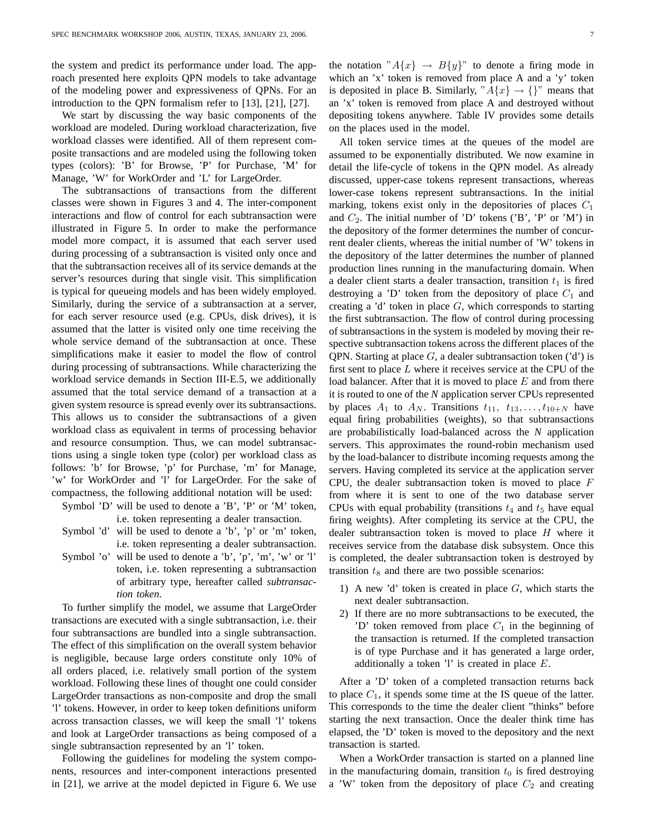the system and predict its performance under load. The approach presented here exploits QPN models to take advantage of the modeling power and expressiveness of QPNs. For an introduction to the QPN formalism refer to [13], [21], [27].

We start by discussing the way basic components of the workload are modeled. During workload characterization, five workload classes were identified. All of them represent composite transactions and are modeled using the following token types (colors): 'B' for Browse, 'P' for Purchase, 'M' for Manage, 'W' for WorkOrder and 'L' for LargeOrder.

The subtransactions of transactions from the different classes were shown in Figures 3 and 4. The inter-component interactions and flow of control for each subtransaction were illustrated in Figure 5. In order to make the performance model more compact, it is assumed that each server used during processing of a subtransaction is visited only once and that the subtransaction receives all of its service demands at the server's resources during that single visit. This simplification is typical for queueing models and has been widely employed. Similarly, during the service of a subtransaction at a server, for each server resource used (e.g. CPUs, disk drives), it is assumed that the latter is visited only one time receiving the whole service demand of the subtransaction at once. These simplifications make it easier to model the flow of control during processing of subtransactions. While characterizing the workload service demands in Section III-E.5, we additionally assumed that the total service demand of a transaction at a given system resource is spread evenly over its subtransactions. This allows us to consider the subtransactions of a given workload class as equivalent in terms of processing behavior and resource consumption. Thus, we can model subtransactions using a single token type (color) per workload class as follows: 'b' for Browse, 'p' for Purchase, 'm' for Manage, 'w' for WorkOrder and 'l' for LargeOrder. For the sake of compactness, the following additional notation will be used:

Symbol 'D' will be used to denote a 'B', 'P' or 'M' token, i.e. token representing a dealer transaction.

Symbol 'd' will be used to denote a 'b', 'p' or 'm' token, i.e. token representing a dealer subtransaction. Symbol 'o' will be used to denote a 'b', 'p', 'm', 'w' or 'l'

token, i.e. token representing a subtransaction of arbitrary type, hereafter called *subtransaction token*.

To further simplify the model, we assume that LargeOrder transactions are executed with a single subtransaction, i.e. their four subtransactions are bundled into a single subtransaction. The effect of this simplification on the overall system behavior is negligible, because large orders constitute only 10% of all orders placed, i.e. relatively small portion of the system workload. Following these lines of thought one could consider LargeOrder transactions as non-composite and drop the small 'l' tokens. However, in order to keep token definitions uniform across transaction classes, we will keep the small 'l' tokens and look at LargeOrder transactions as being composed of a single subtransaction represented by an 'l' token.

Following the guidelines for modeling the system components, resources and inter-component interactions presented in [21], we arrive at the model depicted in Figure 6. We use the notation " $A\{x\} \rightarrow B\{y\}$ " to denote a firing mode in which an 'x' token is removed from place A and a 'y' token is deposited in place B. Similarly,  ${}^{\prime\prime}A\{x\} \rightarrow \{\}{}^{\prime\prime}$  means that an 'x' token is removed from place A and destroyed without depositing tokens anywhere. Table IV provides some details on the places used in the model.

All token service times at the queues of the model are assumed to be exponentially distributed. We now examine in detail the life-cycle of tokens in the QPN model. As already discussed, upper-case tokens represent transactions, whereas lower-case tokens represent subtransactions. In the initial marking, tokens exist only in the depositories of places *C*<sup>1</sup> and  $C_2$ . The initial number of 'D' tokens ('B', 'P' or 'M') in the depository of the former determines the number of concurrent dealer clients, whereas the initial number of 'W' tokens in the depository of the latter determines the number of planned production lines running in the manufacturing domain. When a dealer client starts a dealer transaction, transition  $t_1$  is fired destroying a 'D' token from the depository of place  $C_1$  and creating a 'd' token in place *G*, which corresponds to starting the first subtransaction. The flow of control during processing of subtransactions in the system is modeled by moving their respective subtransaction tokens across the different places of the QPN. Starting at place *G*, a dealer subtransaction token ('d') is first sent to place *L* where it receives service at the CPU of the load balancer. After that it is moved to place *E* and from there it is routed to one of the *N* application server CPUs represented by places  $A_1$  to  $A_N$ . Transitions  $t_{11}, t_{13}, \ldots, t_{10+N}$  have equal firing probabilities (weights), so that subtransactions are probabilistically load-balanced across the *N* application servers. This approximates the round-robin mechanism used by the load-balancer to distribute incoming requests among the servers. Having completed its service at the application server CPU, the dealer subtransaction token is moved to place *F* from where it is sent to one of the two database server CPUs with equal probability (transitions  $t_4$  and  $t_5$  have equal firing weights). After completing its service at the CPU, the dealer subtransaction token is moved to place *H* where it receives service from the database disk subsystem. Once this is completed, the dealer subtransaction token is destroyed by transition  $t_8$  and there are two possible scenarios:

- 1) A new 'd' token is created in place *G*, which starts the next dealer subtransaction.
- 2) If there are no more subtransactions to be executed, the 'D' token removed from place  $C_1$  in the beginning of the transaction is returned. If the completed transaction is of type Purchase and it has generated a large order, additionally a token 'l' is created in place *E*.

After a 'D' token of a completed transaction returns back to place  $C_1$ , it spends some time at the IS queue of the latter. This corresponds to the time the dealer client "thinks" before starting the next transaction. Once the dealer think time has elapsed, the 'D' token is moved to the depository and the next transaction is started.

When a WorkOrder transaction is started on a planned line in the manufacturing domain, transition  $t_0$  is fired destroying a 'W' token from the depository of place  $C_2$  and creating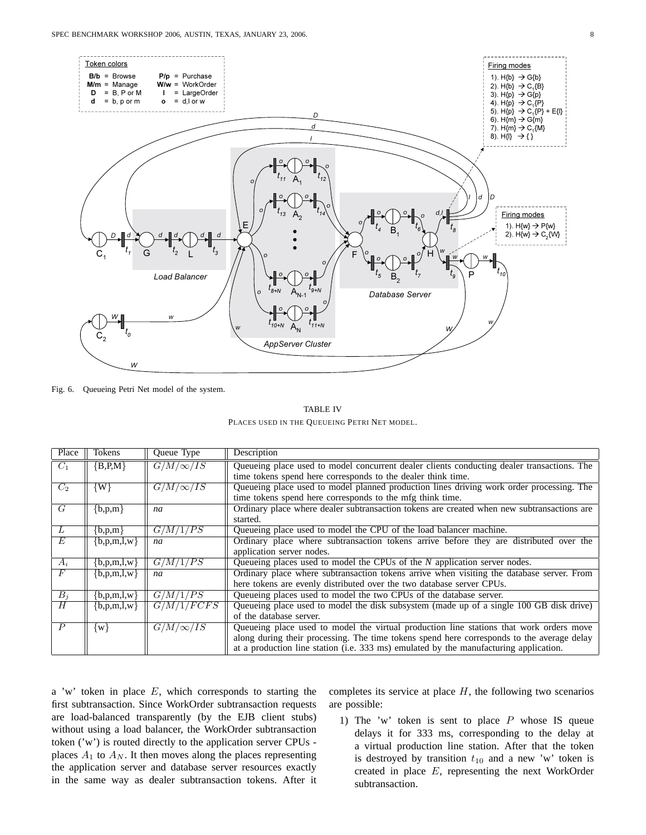

Fig. 6. Queueing Petri Net model of the system.

TABLE IV PLACES USED IN THE QUEUEING PETRI NET MODEL.

| Place            | Tokens          | Queue Type      | Description                                                                                |
|------------------|-----------------|-----------------|--------------------------------------------------------------------------------------------|
| $C_1$            | ${B, P, M}$     | $G/M/\infty/IS$ | Queueing place used to model concurrent dealer clients conducting dealer transactions. The |
|                  |                 |                 | time tokens spend here corresponds to the dealer think time.                               |
| $C_2$            | $\{W\}$         | $G/M/\infty/IS$ | Queueing place used to model planned production lines driving work order processing. The   |
|                  |                 |                 | time tokens spend here corresponds to the mfg think time.                                  |
| G                | $\{b,p,m\}$     | na              | Ordinary place where dealer subtransaction tokens are created when new subtransactions are |
|                  |                 |                 | started.                                                                                   |
| L                | $\{b,p,m\}$     | G/M/1/PS        | Queueing place used to model the CPU of the load balancer machine.                         |
| E                | $\{b,p,m,l,w\}$ | na              | Ordinary place where subtransaction tokens arrive before they are distributed over the     |
|                  |                 |                 | application server nodes.                                                                  |
| $A_i$            | $\{b,p,m,l,w\}$ | G/M/1/PS        | Queueing places used to model the CPUs of the $N$ application server nodes.                |
| $\overline{F}$   | $\{b,p,m,l,w\}$ | na              | Ordinary place where subtransaction tokens arrive when visiting the database server. From  |
|                  |                 |                 | here tokens are evenly distributed over the two database server CPUs.                      |
| $\overline{B_j}$ | $\{b,p,m,l,w\}$ | G/M/1/PS        | Queueing places used to model the two CPUs of the database server.                         |
| H                | $\{b,p,m,l,w\}$ | G/M/1/FCFS      | Oueueing place used to model the disk subsystem (made up of a single 100 GB disk drive)    |
|                  |                 |                 | of the database server.                                                                    |
| $\overline{P}$   | w               | $G/M/\infty/IS$ | Queueing place used to model the virtual production line stations that work orders move    |
|                  |                 |                 | along during their processing. The time tokens spend here corresponds to the average delay |
|                  |                 |                 | at a production line station (i.e. 333 ms) emulated by the manufacturing application.      |

a 'w' token in place *E*, which corresponds to starting the first subtransaction. Since WorkOrder subtransaction requests are load-balanced transparently (by the EJB client stubs) without using a load balancer, the WorkOrder subtransaction token ('w') is routed directly to the application server CPUs places  $A_1$  to  $A_N$ . It then moves along the places representing the application server and database server resources exactly in the same way as dealer subtransaction tokens. After it completes its service at place *H*, the following two scenarios are possible:

1) The 'w' token is sent to place *P* whose IS queue delays it for 333 ms, corresponding to the delay at a virtual production line station. After that the token is destroyed by transition  $t_{10}$  and a new 'w' token is created in place *E*, representing the next WorkOrder subtransaction.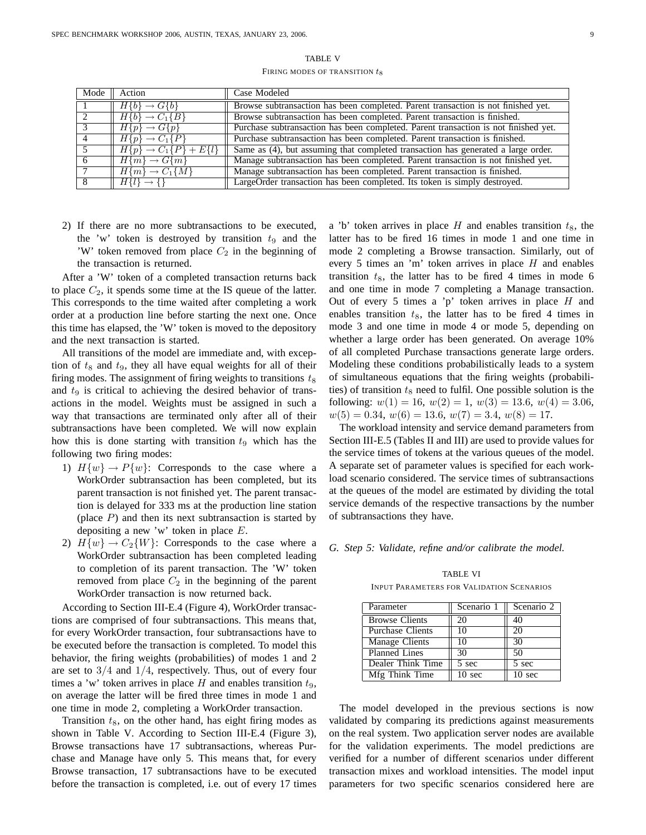#### TABLE V

FIRING MODES OF TRANSITION *t*<sup>8</sup>

| Mode | Action                                   | Case Modeled                                                                        |
|------|------------------------------------------|-------------------------------------------------------------------------------------|
|      | $H\{b\} \rightarrow G\{b\}$              | Browse subtransaction has been completed. Parent transaction is not finished yet.   |
|      | $H\{b\} \rightarrow C_1\{B\}$            | Browse subtransaction has been completed. Parent transaction is finished.           |
|      | $H\{p\} \rightarrow G\{p\}$              | Purchase subtransaction has been completed. Parent transaction is not finished yet. |
|      | $H\{p\} \rightarrow C_1\{P\}$            | Purchase subtransaction has been completed. Parent transaction is finished.         |
|      | $H\{p\} \to C_1\{P\} + E\{l\}$           | Same as (4), but assuming that completed transaction has generated a large order.   |
|      | $H\{\overline{m}\}\to G\{\overline{m}\}$ | Manage subtransaction has been completed. Parent transaction is not finished yet.   |
|      | $H\{m\} \rightarrow C_1\{M\}$            | Manage subtransaction has been completed. Parent transaction is finished.           |
|      | $H\{l\} \rightarrow \{\}$                | LargeOrder transaction has been completed. Its token is simply destroyed.           |

2) If there are no more subtransactions to be executed, the 'w' token is destroyed by transition  $t_9$  and the 'W' token removed from place  $C_2$  in the beginning of the transaction is returned.

After a 'W' token of a completed transaction returns back to place  $C_2$ , it spends some time at the IS queue of the latter. This corresponds to the time waited after completing a work order at a production line before starting the next one. Once this time has elapsed, the 'W' token is moved to the depository and the next transaction is started.

All transitions of the model are immediate and, with exception of  $t_8$  and  $t_9$ , they all have equal weights for all of their firing modes. The assignment of firing weights to transitions  $t_8$ and  $t<sub>9</sub>$  is critical to achieving the desired behavior of transactions in the model. Weights must be assigned in such a way that transactions are terminated only after all of their subtransactions have been completed. We will now explain how this is done starting with transition  $t_9$  which has the following two firing modes:

- 1)  $H\{w\} \rightarrow P\{w\}$ : Corresponds to the case where a WorkOrder subtransaction has been completed, but its parent transaction is not finished yet. The parent transaction is delayed for 333 ms at the production line station (place *P*) and then its next subtransaction is started by depositing a new 'w' token in place *E*.
- 2)  $H\{w\} \rightarrow C_2\{W\}$ : Corresponds to the case where a WorkOrder subtransaction has been completed leading to completion of its parent transaction. The 'W' token removed from place  $C_2$  in the beginning of the parent WorkOrder transaction is now returned back.

According to Section III-E.4 (Figure 4), WorkOrder transactions are comprised of four subtransactions. This means that, for every WorkOrder transaction, four subtransactions have to be executed before the transaction is completed. To model this behavior, the firing weights (probabilities) of modes 1 and 2 are set to 3*/*4 and 1*/*4, respectively. Thus, out of every four times a 'w' token arrives in place  $H$  and enables transition  $t_9$ , on average the latter will be fired three times in mode 1 and one time in mode 2, completing a WorkOrder transaction.

Transition  $t_8$ , on the other hand, has eight firing modes as shown in Table V. According to Section III-E.4 (Figure 3), Browse transactions have 17 subtransactions, whereas Purchase and Manage have only 5. This means that, for every Browse transaction, 17 subtransactions have to be executed before the transaction is completed, i.e. out of every 17 times a 'b' token arrives in place  $H$  and enables transition  $t_8$ , the latter has to be fired 16 times in mode 1 and one time in mode 2 completing a Browse transaction. Similarly, out of every 5 times an 'm' token arrives in place *H* and enables transition  $t_8$ , the latter has to be fired 4 times in mode 6 and one time in mode 7 completing a Manage transaction. Out of every 5 times a 'p' token arrives in place *H* and enables transition  $t_8$ , the latter has to be fired 4 times in mode 3 and one time in mode 4 or mode 5, depending on whether a large order has been generated. On average 10% of all completed Purchase transactions generate large orders. Modeling these conditions probabilistically leads to a system of simultaneous equations that the firing weights (probabilities) of transition  $t_8$  need to fulfil. One possible solution is the following:  $w(1) = 16$ ,  $w(2) = 1$ ,  $w(3) = 13.6$ ,  $w(4) = 3.06$ ,  $w(5) = 0.34, w(6) = 13.6, w(7) = 3.4, w(8) = 17.$ 

The workload intensity and service demand parameters from Section III-E.5 (Tables II and III) are used to provide values for the service times of tokens at the various queues of the model. A separate set of parameter values is specified for each workload scenario considered. The service times of subtransactions at the queues of the model are estimated by dividing the total service demands of the respective transactions by the number of subtransactions they have.

*G. Step 5: Validate, refine and/or calibrate the model.*

Parameter Scenario 1 Scenario 2 Browse Clients 20 40 Purchase Clients | 10 | 20 Manage Clients 10 30<br>Planned Lines 30 50 Planned Lines Dealer Think Time 5 sec 5 sec Mfg Think Time  $\parallel$  10 sec  $\parallel$  10 sec

TABLE VI INPUT PARAMETERS FOR VALIDATION SCENARIOS

The model developed in the previous sections is now validated by comparing its predictions against measurements on the real system. Two application server nodes are available for the validation experiments. The model predictions are verified for a number of different scenarios under different transaction mixes and workload intensities. The model input parameters for two specific scenarios considered here are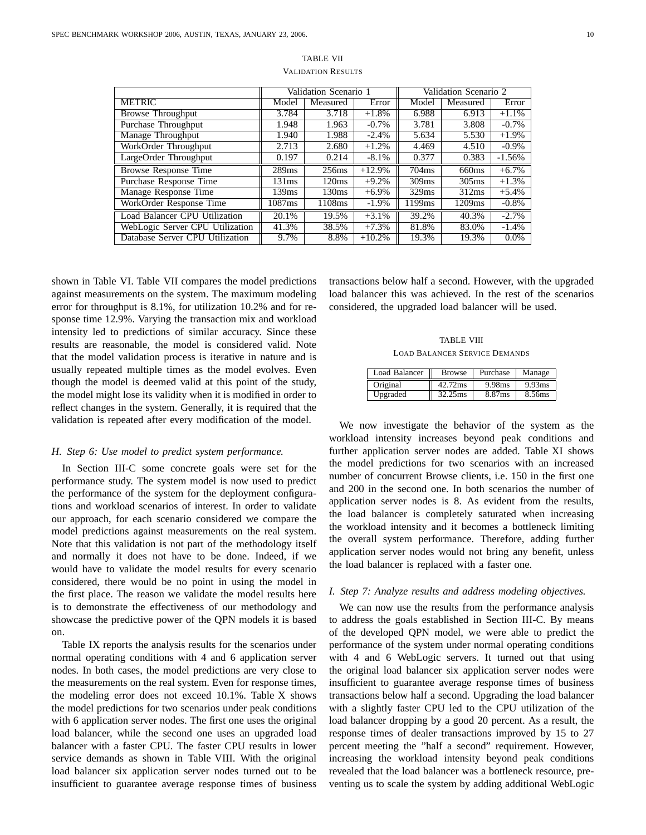|                                 | Validation Scenario 1 |          |          |        | Validation Scenario 2 |          |  |
|---------------------------------|-----------------------|----------|----------|--------|-----------------------|----------|--|
| <b>METRIC</b>                   | Model                 | Measured | Error    | Model  | Measured              | Error    |  |
| <b>Browse Throughput</b>        | 3.784                 | 3.718    | $+1.8\%$ | 6.988  | 6.913                 | $+1.1%$  |  |
| Purchase Throughput             | 1.948                 | 1.963    | $-0.7\%$ | 3.781  | 3.808                 | $-0.7\%$ |  |
| Manage Throughput               | 1.940                 | 1.988    | $-2.4\%$ | 5.634  | 5.530                 | $+1.9%$  |  |
| WorkOrder Throughput            | 2.713                 | 2.680    | $+1.2\%$ | 4.469  | 4.510                 | $-0.9\%$ |  |
| LargeOrder Throughput           | 0.197                 | 0.214    | $-8.1\%$ | 0.377  | 0.383                 | $-1.56%$ |  |
| <b>Browse Response Time</b>     | 289ms                 | 256ms    | $+12.9%$ | 704ms  | 660 <sub>ms</sub>     | $+6.7\%$ |  |
| Purchase Response Time          | 131ms                 | 120ms    | $+9.2%$  | 309ms  | 305ms                 | $+1.3%$  |  |
| Manage Response Time            | 139ms                 | 130ms    | $+6.9\%$ | 329ms  | 312ms                 | $+5.4%$  |  |
| WorkOrder Response Time         | 1087ms                | 1108ms   | $-1.9\%$ | 1199ms | 1209ms                | $-0.8\%$ |  |
| Load Balancer CPU Utilization   | 20.1%                 | 19.5%    | $+3.1%$  | 39.2%  | 40.3%                 | $-2.7%$  |  |
| WebLogic Server CPU Utilization | 41.3%                 | 38.5%    | $+7.3%$  | 81.8%  | 83.0%                 | $-1.4%$  |  |
| Database Server CPU Utilization | 9.7%                  | 8.8%     | $+10.2%$ | 19.3%  | 19.3%                 | $0.0\%$  |  |

TABLE VII VALIDATION RESULTS

shown in Table VI. Table VII compares the model predictions against measurements on the system. The maximum modeling error for throughput is 8.1%, for utilization 10.2% and for response time 12.9%. Varying the transaction mix and workload intensity led to predictions of similar accuracy. Since these results are reasonable, the model is considered valid. Note that the model validation process is iterative in nature and is usually repeated multiple times as the model evolves. Even though the model is deemed valid at this point of the study, the model might lose its validity when it is modified in order to reflect changes in the system. Generally, it is required that the validation is repeated after every modification of the model.

# *H. Step 6: Use model to predict system performance.*

In Section III-C some concrete goals were set for the performance study. The system model is now used to predict the performance of the system for the deployment configurations and workload scenarios of interest. In order to validate our approach, for each scenario considered we compare the model predictions against measurements on the real system. Note that this validation is not part of the methodology itself and normally it does not have to be done. Indeed, if we would have to validate the model results for every scenario considered, there would be no point in using the model in the first place. The reason we validate the model results here is to demonstrate the effectiveness of our methodology and showcase the predictive power of the QPN models it is based on.

Table IX reports the analysis results for the scenarios under normal operating conditions with 4 and 6 application server nodes. In both cases, the model predictions are very close to the measurements on the real system. Even for response times, the modeling error does not exceed 10.1%. Table X shows the model predictions for two scenarios under peak conditions with 6 application server nodes. The first one uses the original load balancer, while the second one uses an upgraded load balancer with a faster CPU. The faster CPU results in lower service demands as shown in Table VIII. With the original load balancer six application server nodes turned out to be insufficient to guarantee average response times of business transactions below half a second. However, with the upgraded load balancer this was achieved. In the rest of the scenarios considered, the upgraded load balancer will be used.

TABLE VIII LOAD BALANCER SERVICE DEMANDS

| Load Balancer | <b>Browse</b> | Purchase | Manage |
|---------------|---------------|----------|--------|
| Original      | 42.72ms       | 9.98ms   | 9.93ms |
| Upgraded      | 32.25ms       | 8.87ms   | 8.56ms |

We now investigate the behavior of the system as the workload intensity increases beyond peak conditions and further application server nodes are added. Table XI shows the model predictions for two scenarios with an increased number of concurrent Browse clients, i.e. 150 in the first one and 200 in the second one. In both scenarios the number of application server nodes is 8. As evident from the results, the load balancer is completely saturated when increasing the workload intensity and it becomes a bottleneck limiting the overall system performance. Therefore, adding further application server nodes would not bring any benefit, unless the load balancer is replaced with a faster one.

# *I. Step 7: Analyze results and address modeling objectives.*

We can now use the results from the performance analysis to address the goals established in Section III-C. By means of the developed QPN model, we were able to predict the performance of the system under normal operating conditions with 4 and 6 WebLogic servers. It turned out that using the original load balancer six application server nodes were insufficient to guarantee average response times of business transactions below half a second. Upgrading the load balancer with a slightly faster CPU led to the CPU utilization of the load balancer dropping by a good 20 percent. As a result, the response times of dealer transactions improved by 15 to 27 percent meeting the "half a second" requirement. However, increasing the workload intensity beyond peak conditions revealed that the load balancer was a bottleneck resource, preventing us to scale the system by adding additional WebLogic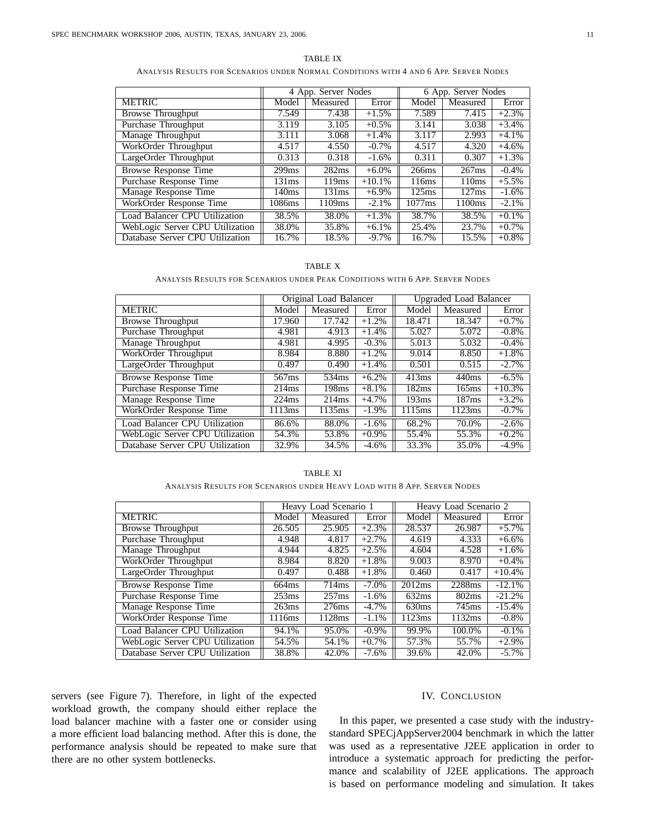# TABLE IX

ANALYSIS RESULTS FOR SCENARIOS UNDER NORMAL CONDITIONS WITH 4 AND 6 APP. SERVER NODES

|                                      | 4 App. Server Nodes |                    |          | 6 App. Server Nodes |                    |         |
|--------------------------------------|---------------------|--------------------|----------|---------------------|--------------------|---------|
| <b>METRIC</b>                        | Model               | Measured           | Error    | Model               | Measured           | Error   |
| <b>Browse Throughput</b>             | 7.549               | 7.438              | $+1.5%$  | 7.589               | 7.415              | $+2.3%$ |
| Purchase Throughput                  | 3.119               | 3.105              | $+0.5\%$ | 3.141               | 3.038              | $+3.4%$ |
| Manage Throughput                    | 3.111               | 3.068              | $+1.4%$  | 3.117               | 2.993              | $+4.1%$ |
| WorkOrder Throughput                 | 4.517               | 4.550              | $-0.7\%$ | 4.517               | 4.320              | $+4.6%$ |
| LargeOrder Throughput                | 0.313               | 0.318              | $-1.6\%$ | 0.311               | 0.307              | $+1.3%$ |
| <b>Browse Response Time</b>          | 299ms               | 282ms              | $+6.0\%$ | 266ms               | 267ms              | $-0.4%$ |
| <b>Purchase Response Time</b>        | 131ms               | 119ms              | $+10.1%$ | 116ms               | 110ms              | $+5.5%$ |
| Manage Response Time                 | 140ms               | 131ms              | $+6.9\%$ | 125ms               | 127ms              | $-1.6%$ |
| WorkOrder Response Time              | 1086ms              | 1109 <sub>ms</sub> | $-2.1%$  | 1077ms              | 1100 <sub>ms</sub> | $-2.1%$ |
| <b>Load Balancer CPU Utilization</b> | 38.5%               | 38.0%              | $+1.3%$  | 38.7%               | 38.5%              | $+0.1%$ |
| WebLogic Server CPU Utilization      | 38.0%               | 35.8%              | $+6.1%$  | 25.4%               | 23.7%              | $+0.7%$ |
| Database Server CPU Utilization      | 16.7%               | 18.5%              | $-9.7\%$ | 16.7%               | 15.5%              | $+0.8%$ |

#### TABLE X

# ANALYSIS RESULTS FOR SCENARIOS UNDER PEAK CONDITIONS WITH 6 APP. SERVER NODES

|                                 | Original Load Balancer |                    |          | <b>Upgraded Load Balancer</b> |                   |          |
|---------------------------------|------------------------|--------------------|----------|-------------------------------|-------------------|----------|
| <b>METRIC</b>                   | Model                  | Measured           | Error    | Model                         | Measured          | Error    |
| <b>Browse</b> Throughput        | 17.960                 | 17.742             | $+1.2%$  | 18.471                        | 18.347            | $+0.7%$  |
| Purchase Throughput             | 4.981                  | 4.913              | $+1.4%$  | 5.027                         | 5.072             | $-0.8%$  |
| Manage Throughput               | 4.981                  | 4.995              | $-0.3%$  | 5.013                         | 5.032             | $-0.4%$  |
| WorkOrder Throughput            | 8.984                  | 8.880              | $+1.2%$  | 9.014                         | 8.850             | $+1.8%$  |
| LargeOrder Throughput           | 0.497                  | 0.490              | $+1.4%$  | 0.501                         | 0.515             | $-2.7%$  |
| <b>Browse Response Time</b>     | 567 <sub>ms</sub>      | $\overline{5}34ms$ | $+6.2%$  | 413ms                         | 440ms             | $-6.5\%$ |
| Purchase Response Time          | 214ms                  | 198 <sub>ms</sub>  | $+8.1%$  | 182ms                         | 165 <sub>ms</sub> | $+10.3%$ |
| Manage Response Time            | 224ms                  | 214ms              | $+4.7%$  | 193ms                         | 187 <sub>ms</sub> | $+3.2%$  |
| WorkOrder Response Time         | 1113ms                 | 1135ms             | $-1.9\%$ | 1115 <sub>ms</sub>            | 1123ms            | $-0.7\%$ |
| Load Balancer CPU Utilization   | 86.6%                  | 88.0%              | $-1.6%$  | 68.2%                         | 70.0%             | $-2.6%$  |
| WebLogic Server CPU Utilization | 54.3%                  | 53.8%              | $+0.9\%$ | 55.4%                         | 55.3%             | $+0.2%$  |
| Database Server CPU Utilization | 32.9%                  | 34.5%              | $-4.6\%$ | 33.3%                         | 35.0%             | $-4.9\%$ |

#### TABLE XI

ANALYSIS RESULTS FOR SCENARIOS UNDER HEAVY LOAD WITH 8 APP. SERVER NODES

|                                 | Heavy Load Scenario 1 |          |          | Heavy Load Scenario 2 |          |          |
|---------------------------------|-----------------------|----------|----------|-----------------------|----------|----------|
| <b>METRIC</b>                   | Model                 | Measured | Error    | Model                 | Measured | Error    |
| <b>Browse Throughput</b>        | 26.505                | 25.905   | $+2.3%$  | 28.537                | 26.987   | $+5.7%$  |
| Purchase Throughput             | 4.948                 | 4.817    | $+2.7%$  | 4.619                 | 4.333    | $+6.6%$  |
| Manage Throughput               | 4.944                 | 4.825    | $+2.5%$  | 4.604                 | 4.528    | $+1.6%$  |
| WorkOrder Throughput            | 8.984                 | 8.820    | $+1.8%$  | 9.003                 | 8.970    | $+0.4%$  |
| LargeOrder Throughput           | 0.497                 | 0.488    | $+1.8%$  | 0.460                 | 0.417    | $+10.4%$ |
| <b>Browse Response Time</b>     | 664ms                 | 714ms    | $-7.0\%$ | 2012ms                | 2288ms   | $-12.1%$ |
| Purchase Response Time          | 253ms                 | 257ms    | $-1.6%$  | 632ms                 | 802ms    | $-21.2%$ |
| Manage Response Time            | 263ms                 | 276ms    | $-4.7\%$ | 630ms                 | 745ms    | $-15.4%$ |
| WorkOrder Response Time         | 1116ms                | 1128ms   | $-1.1\%$ | 1123ms                | 1132ms   | $-0.8%$  |
| Load Balancer CPU Utilization   | 94.1%                 | 95.0%    | $-0.9\%$ | 99.9%                 | 100.0%   | $-0.1\%$ |
| WebLogic Server CPU Utilization | 54.5%                 | 54.1%    | $+0.7\%$ | 57.3%                 | 55.7%    | $+2.9%$  |
| Database Server CPU Utilization | 38.8%                 | 42.0%    | $-7.6%$  | 39.6%                 | 42.0%    | $-5.7\%$ |

servers (see Figure 7). Therefore, in light of the expected workload growth, the company should either replace the load balancer machine with a faster one or consider using a more efficient load balancing method. After this is done, the performance analysis should be repeated to make sure that there are no other system bottlenecks.

# IV. CONCLUSION

In this paper, we presented a case study with the industrystandard SPECjAppServer2004 benchmark in which the latter was used as a representative J2EE application in order to introduce a systematic approach for predicting the performance and scalability of J2EE applications. The approach is based on performance modeling and simulation. It takes